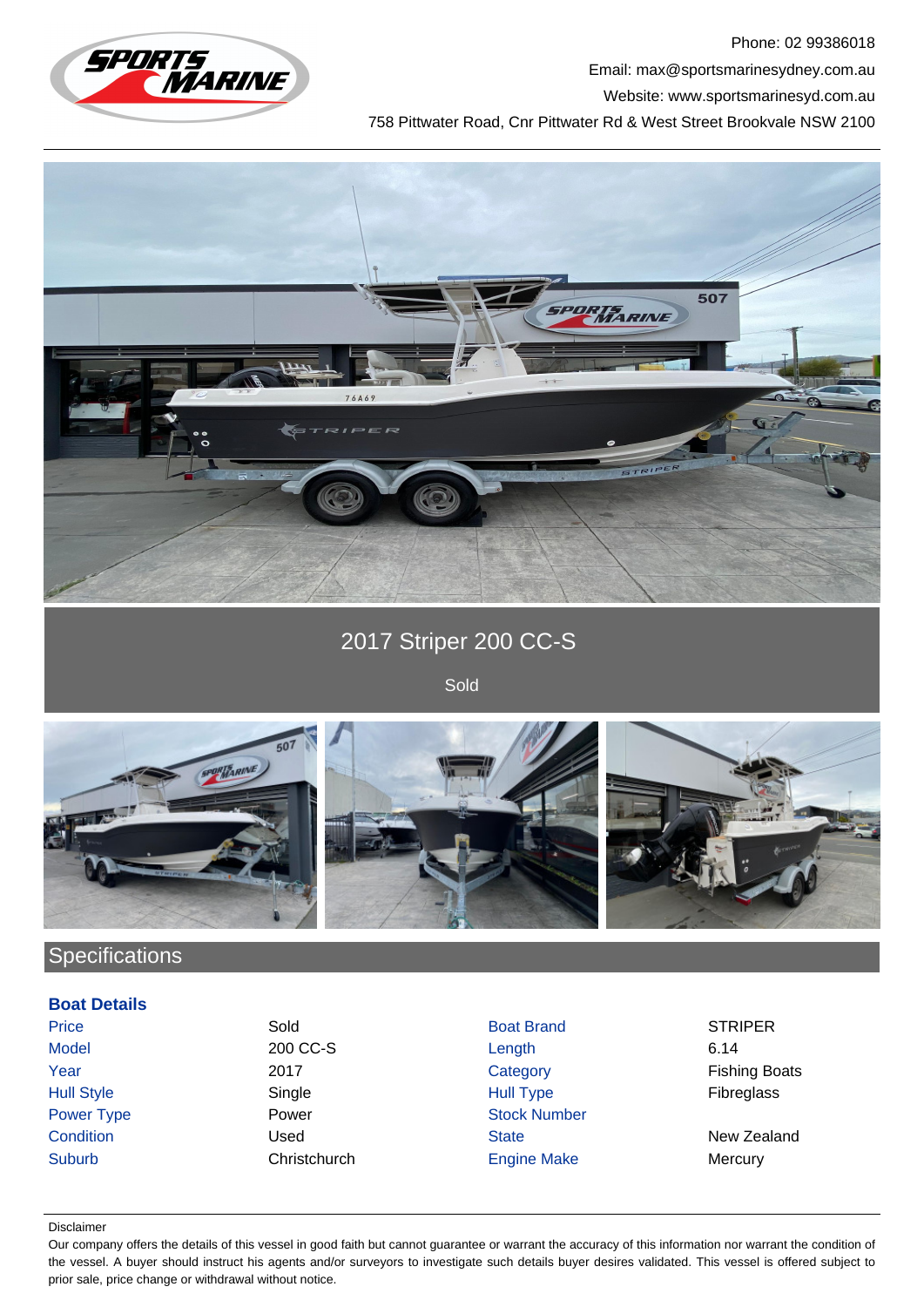

Phone: 02 99386018 Email: max@sportsmarinesydney.com.au Website: www.sportsmarinesyd.com.au

758 Pittwater Road, Cnr Pittwater Rd & West Street Brookvale NSW 2100



2017 Striper 200 CC-S

Sold



## **Specifications**

## **Boat Details**

Price Sold Sold Boat Brand STRIPER

Model 200 CC-S Length 6.14 Year 2017 2017 Category Category Fishing Boats Hull Style Single Hull Type Fibreglass Power Type **Power Power Stock Number Condition** Condition **Condition** Used State State New Zealand Suburb Christchurch Engine Make Mercury

## Disclaimer

Our company offers the details of this vessel in good faith but cannot guarantee or warrant the accuracy of this information nor warrant the condition of the vessel. A buyer should instruct his agents and/or surveyors to investigate such details buyer desires validated. This vessel is offered subject to prior sale, price change or withdrawal without notice.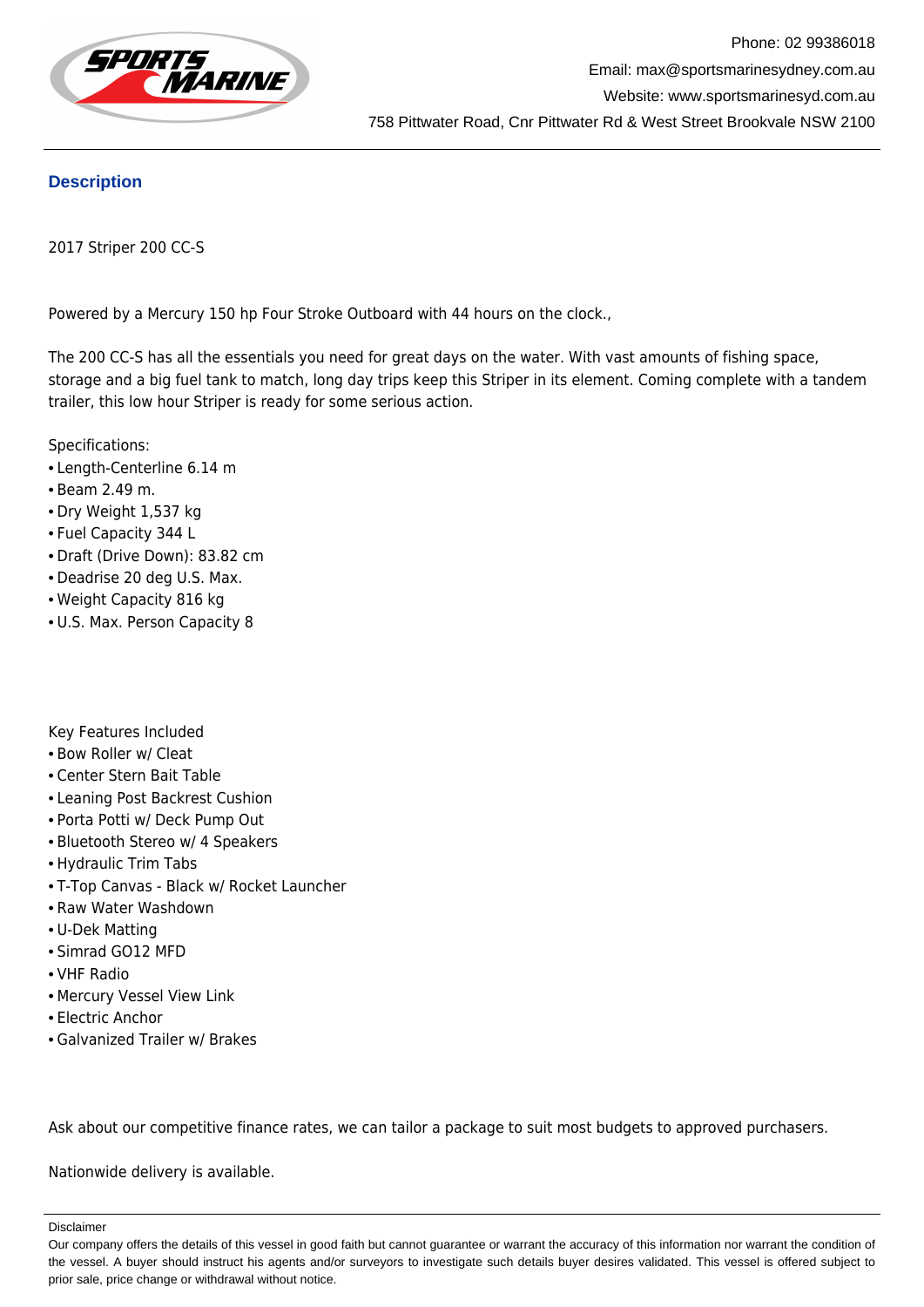

## **Description**

2017 Striper 200 CC-S

Powered by a Mercury 150 hp Four Stroke Outboard with 44 hours on the clock.,

The 200 CC-S has all the essentials you need for great days on the water. With vast amounts of fishing space, storage and a big fuel tank to match, long day trips keep this Striper in its element. Coming complete with a tandem trailer, this low hour Striper is ready for some serious action.

Specifications:

- Length-Centerline 6.14 m
- Beam 2.49 m.
- Dry Weight 1,537 kg
- Fuel Capacity 344 L
- Draft (Drive Down): 83.82 cm
- Deadrise 20 deg U.S. Max.
- Weight Capacity 816 kg
- U.S. Max. Person Capacity 8

Key Features Included

- Bow Roller w/ Cleat
- Center Stern Bait Table
- Leaning Post Backrest Cushion
- Porta Potti w/ Deck Pump Out
- Bluetooth Stereo w/ 4 Speakers
- Hydraulic Trim Tabs
- T-Top Canvas Black w/ Rocket Launcher
- Raw Water Washdown
- U-Dek Matting
- Simrad GO12 MFD
- VHF Radio
- Mercury Vessel View Link
- Electric Anchor
- Galvanized Trailer w/ Brakes

Ask about our competitive finance rates, we can tailor a package to suit most budgets to approved purchasers.

Nationwide delivery is available.

Disclaimer

Our company offers the details of this vessel in good faith but cannot guarantee or warrant the accuracy of this information nor warrant the condition of the vessel. A buyer should instruct his agents and/or surveyors to investigate such details buyer desires validated. This vessel is offered subject to prior sale, price change or withdrawal without notice.